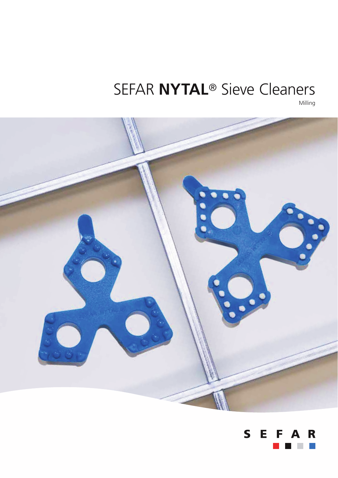### SEFAR **NYTAL**® Sieve Cleaners Milling

 $\bullet$   $\bullet$   $\bullet$  $\bullet$ 

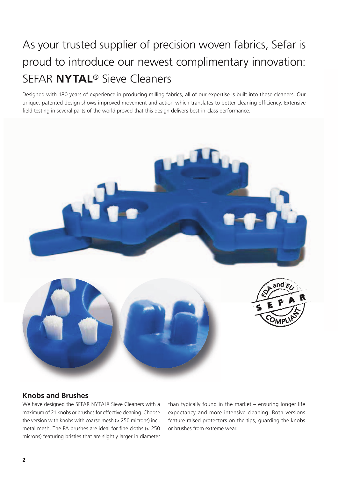# As your trusted supplier of precision woven fabrics, Sefar is proud to introduce our newest complimentary innovation: SEFAR **NYTAL**® Sieve Cleaners

Designed with 180 years of experience in producing milling fabrics, all of our expertise is built into these cleaners. Our unique, patented design shows improved movement and action which translates to better cleaning efficiency. Extensive field testing in several parts of the world proved that this design delivers best-in-class performance.



### **Knobs and Brushes**

We have designed the SEFAR NYTAL® Sieve Cleaners with a maximum of 21 knobs or brushes for effective cleaning. Choose the version with knobs with coarse mesh (> 250 microns) incl. metal mesh. The PA brushes are ideal for fine cloths (< 250 microns) featuring bristles that are slightly larger in diameter

than typically found in the market – ensuring longer life expectancy and more intensive cleaning. Both versions feature raised protectors on the tips, guarding the knobs or brushes from extreme wear.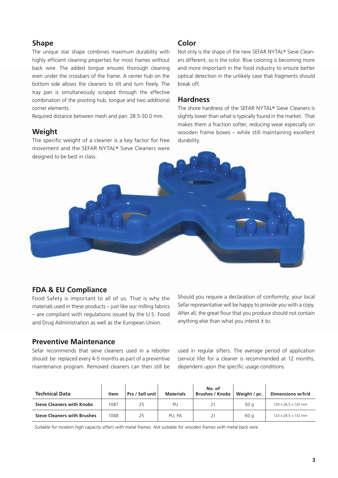#### **Shape**

The unique star shape combines maximum durability with highly efficient cleaning properties for most frames without back wire. The added tongue ensures thorough cleaning even under the crossbars of the frame. A center hub on the bottom side allows the cleaners to tilt and turn freely. The tray pan is simultaneously scraped through the effective combination of the pivoting hub, tongue and two additional corner elements.

Required distance between mesh and pan: 28.5-30.0 mm.

### **Weight**

The specific weight of a cleaner is a key factor for free movement and the SEFAR NYTAL® Sieve Cleaners were designed to be best in class.

### **Color**

Not only is the shape of the new SEFAR NYTAL® Sieve Cleaners different, so is the color. Blue coloring is becoming more and more important in the food industry to ensure better optical detection in the unlikely case that fragments should break off.

#### **Hardness**

The shore hardness of the SEFAR NYTAL® Sieve Cleaners is slightly lower than what is typically found in the market. That makes them a fraction softer, reducing wear especially on wooden frame boxes – while still maintaining excellent durability.

### **FDA & EU Compliance**

Food Safety is important to all of us. That is why the materials used in these products – just like our milling fabrics – are compliant with regulations issued by the U.S. Food and Drug Administration as well as the European Union.

#### **Preventive Maintenance**

Sefar recommends that sieve cleaners used in a rebolter should be replaced every 4-5 months as part of a preventive maintenance program. Removed cleaners can then still be Should you require a declaration of conformity, your local Sefar representative will be happy to provide you with a copy. After all, the great flour that you produce should not contain anything else than what you intend it to.

used in regular sifters. The average period of application (service life) for a cleaner is recommended at 12 months, dependent upon the specific usage conditions.

| <b>Technical Data</b>              | Item | Pcs / Sell unit | <b>Materials</b> | No. of<br><b>Brushes / Knobs</b> | Weight / pc. | Dimensions w/h/d    |
|------------------------------------|------|-----------------|------------------|----------------------------------|--------------|---------------------|
| <b>Sieve Cleaners with Knobs</b>   | 1087 | 25              | PU               | 21                               | 50 $q$       | 120 x 26,5 x 132 mm |
| <b>Sieve Cleaners with Brushes</b> | 1088 | 25              | PU, PA           | 21                               | 60 a         | 123 x 28.5 x 132 mm |

 *Suitable for modern high capacity sifters with metal frames. Not suitable for wooden frames with metal back wire.*